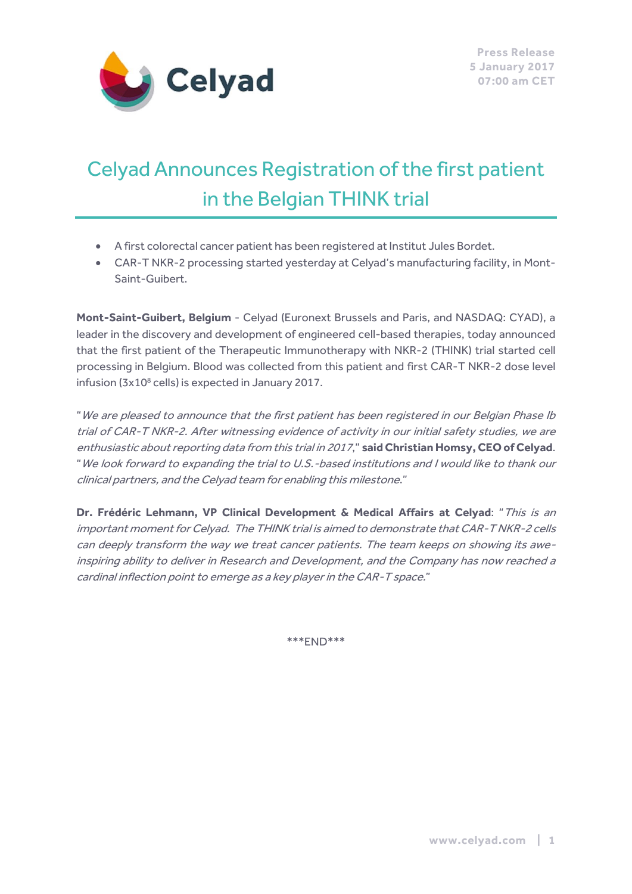

# Celyad Announces Registration ofthe first patient in the Belgian THINK trial

- A first colorectal cancer patient has been registered at Institut Jules Bordet.
- CAR-T NKR-2 processing started yesterday at Celyad's manufacturing facility, in Mont-Saint-Guibert.

**Mont-Saint-Guibert, Belgium** - Celyad (Euronext Brussels and Paris, and NASDAQ: CYAD), a leader in the discovery and development of engineered cell-based therapies, today announced that the first patient of the Therapeutic Immunotherapy with NKR-2 (THINK) trial started cell processing in Belgium. Blood was collected from this patient and first CAR-T NKR-2 dose level infusion (3x10<sup>8</sup> cells) is expected in January 2017.

"We are pleased to announce that the first patient has been registered in our Belgian Phase Ib trial of CAR-T NKR-2. After witnessing evidence of activity in our initial safety studies, we are enthusiastic about reporting data from this trial in 2017," **said Christian Homsy, CEO of Celyad**. "We look forward to expanding the trial to U.S.-based institutions and I would like to thank our clinical partners, and the Celyad team for enabling this milestone."

**Dr. Frédéric Lehmann, VP Clinical Development & Medical Affairs at Celyad**: "This is an important moment for Celyad. The THINK trial is aimed to demonstrate that CAR-T NKR-2 cells can deeply transform the way we treat cancer patients. The team keeps on showing its aweinspiring ability to deliver in Research and Development, and the Company has now reached a cardinal inflection point to emerge as a key player in the CAR-T space."

\*\*\*END\*\*\*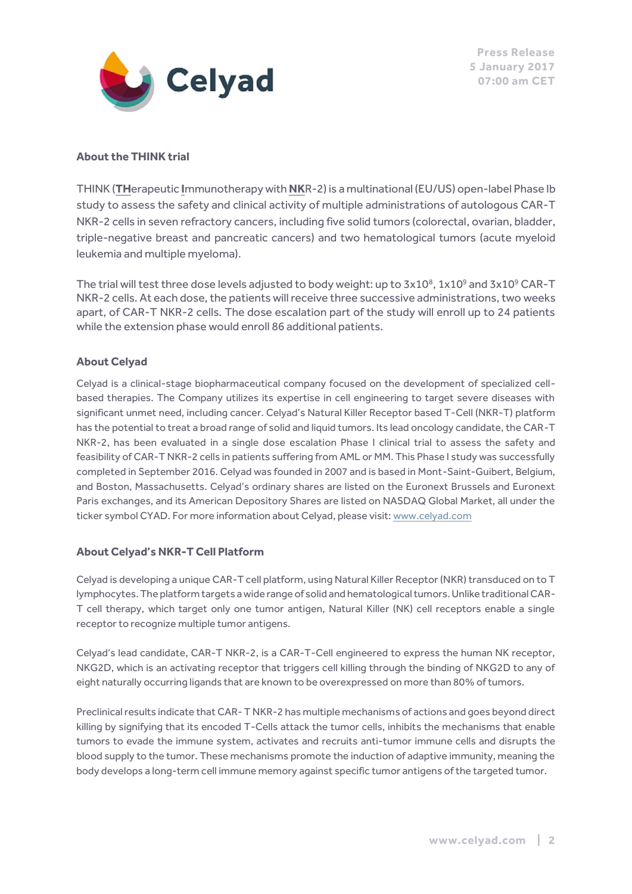

#### **About the THINK trial**

THINK (**TH**erapeutic **I**mmunotherapy with **NK**R-2) is a multinational (EU/US) open-label Phase Ib study to assess the safety and clinical activity of multiple administrations of autologous CAR-T NKR-2 cells in seven refractory cancers, including five solid tumors (colorectal, ovarian, bladder, triple-negative breast and pancreatic cancers) and two hematological tumors (acute myeloid leukemia and multiple myeloma).

The trial will test three dose levels adjusted to body weight: up to  $3x10^8$ ,  $1x10^9$  and  $3x10^9$  CAR-T NKR-2 cells. At each dose, the patients will receive three successive administrations, two weeks apart, of CAR-T NKR-2 cells. The dose escalation part of the study will enroll up to 24 patients while the extension phase would enroll 86 additional patients.

#### **About Celyad**

Celyad is a clinical-stage biopharmaceutical company focused on the development of specialized cellbased therapies. The Company utilizes its expertise in cell engineering to target severe diseases with significant unmet need, including cancer. Celyad's Natural Killer Receptor based T-Cell (NKR-T) platform has the potential to treat a broad range of solid and liquid tumors. Its lead oncology candidate, the CAR-T NKR-2, has been evaluated in a single dose escalation Phase I clinical trial to assess the safety and feasibility of CAR-T NKR-2 cells in patients suffering from AML or MM. This Phase I study was successfully completed in September 2016. Celyad was founded in 2007 and is based in Mont-Saint-Guibert, Belgium, and Boston, Massachusetts. Celyad's ordinary shares are listed on the Euronext Brussels and Euronext Paris exchanges, and its American Depository Shares are listed on NASDAQ Global Market, all under the ticker symbol CYAD. For more information about Celyad, please visit[: www.celyad.com](http://www.celyad.com/)

#### **About Celyad's NKR-T Cell Platform**

Celyad is developing a unique CAR-T cell platform, using Natural Killer Receptor (NKR) transduced on to T lymphocytes. The platform targets a wide range of solid and hematological tumors. Unlike traditional CAR-T cell therapy, which target only one tumor antigen, Natural Killer (NK) cell receptors enable a single receptor to recognize multiple tumor antigens.

Celyad's lead candidate, CAR-T NKR-2, is a CAR-T-Cell engineered to express the human NK receptor, NKG2D, which is an activating receptor that triggers cell killing through the binding of NKG2D to any of eight naturally occurring ligands that are known to be overexpressed on more than 80% of tumors.

Preclinical results indicate that CAR- T NKR-2 has multiple mechanisms of actions and goes beyond direct killing by signifying that its encoded T-Cells attack the tumor cells, inhibits the mechanisms that enable tumors to evade the immune system, activates and recruits anti-tumor immune cells and disrupts the blood supply to the tumor. These mechanisms promote the induction of adaptive immunity, meaning the body develops a long-term cell immune memory against specific tumor antigens of the targeted tumor.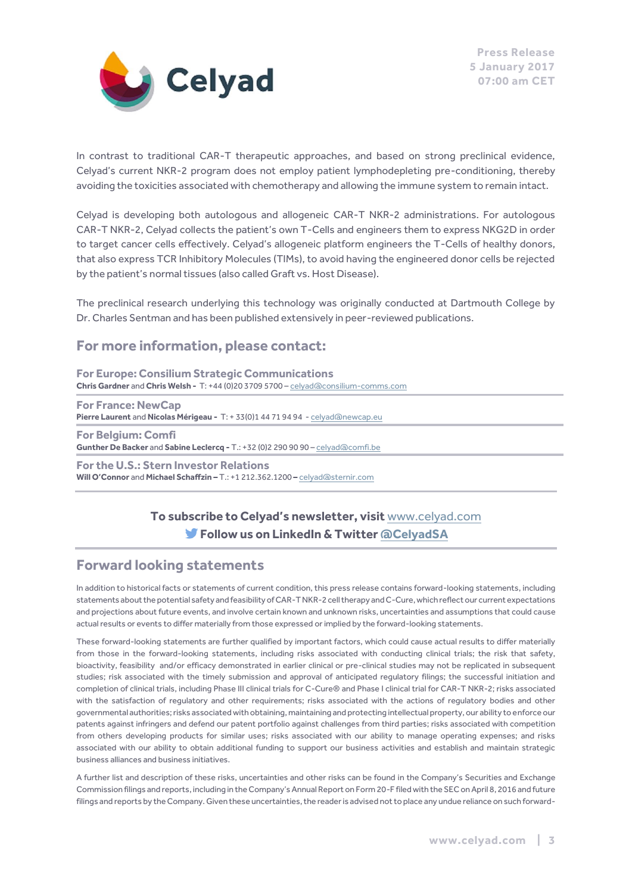

In contrast to traditional CAR-T therapeutic approaches, and based on strong preclinical evidence, Celyad's current NKR-2 program does not employ patient lymphodepleting pre-conditioning, thereby avoiding the toxicities associated with chemotherapy and allowing the immune system to remain intact.

Celyad is developing both autologous and allogeneic CAR-T NKR-2 administrations. For autologous CAR-T NKR-2, Celyad collects the patient's own T-Cells and engineers them to express NKG2D in order to target cancer cells effectively. Celyad's allogeneic platform engineers the T-Cells of healthy donors, that also express TCR Inhibitory Molecules (TIMs), to avoid having the engineered donor cells be rejected by the patient's normal tissues (also called Graft vs. Host Disease).

The preclinical research underlying this technology was originally conducted at Dartmouth College by Dr. Charles Sentman and has been published extensively in peer-reviewed publications.

## **For more information, please contact:**

**For Europe: Consilium Strategic Communications Chris Gardner** and **Chris Welsh -** T: +44 (0)20 3709 5700 – [celyad@consilium-comms.com](mailto:celyad@consilium-comms.com)

**For France: NewCap Pierre Laurent** and **Nicolas Mérigeau -** T: + 33(0)1 44 71 94 94 - [celyad@newcap.eu](mailto:celyad@newcap.eu)

**For Belgium: Comfi Gunther De Backer** and **Sabine Leclercq -** T.: +32 (0)2 290 90 90 – [celyad@comfi.be](mailto:celyad@comfi.be)

**For the U.S.: Stern Investor Relations Will O'Connor** and **Michael Schaffzin –** T.: +1 212.362.1200 **–** [celyad@sternir.com](mailto:celyad@sternir.com)

## **To subscribe to Celyad's newsletter, visit** [www.celyad.com](http://www.celyad.com/) **Follow us on LinkedIn & Twitte[r @CelyadSA](https://twitter.com/CelyadSA)**

### **Forward looking statements**

In addition to historical facts or statements of current condition, this press release contains forward-looking statements, including statements about the potential safety and feasibility of CAR-T NKR-2 cell therapy and C-Cure, which reflect our current expectations and projections about future events, and involve certain known and unknown risks, uncertainties and assumptions that could cause actual results or events to differ materially from those expressed or implied by the forward-looking statements.

These forward-looking statements are further qualified by important factors, which could cause actual results to differ materially from those in the forward-looking statements, including risks associated with conducting clinical trials; the risk that safety, bioactivity, feasibility and/or efficacy demonstrated in earlier clinical or pre-clinical studies may not be replicated in subsequent studies; risk associated with the timely submission and approval of anticipated regulatory filings; the successful initiation and completion of clinical trials, including Phase III clinical trials for C-Cure® and Phase I clinical trial for CAR-T NKR-2; risks associated with the satisfaction of regulatory and other requirements; risks associated with the actions of regulatory bodies and other governmental authorities; risks associated with obtaining, maintaining and protecting intellectual property, our ability to enforce our patents against infringers and defend our patent portfolio against challenges from third parties; risks associated with competition from others developing products for similar uses; risks associated with our ability to manage operating expenses; and risks associated with our ability to obtain additional funding to support our business activities and establish and maintain strategic business alliances and business initiatives.

A further list and description of these risks, uncertainties and other risks can be found in the Company's Securities and Exchange Commission filings and reports, including in the Company's Annual Report on Form 20-F filed with the SEC on April 8, 2016 and future filings and reports by the Company. Given these uncertainties, the reader is advised not to place any undue reliance on such forward-